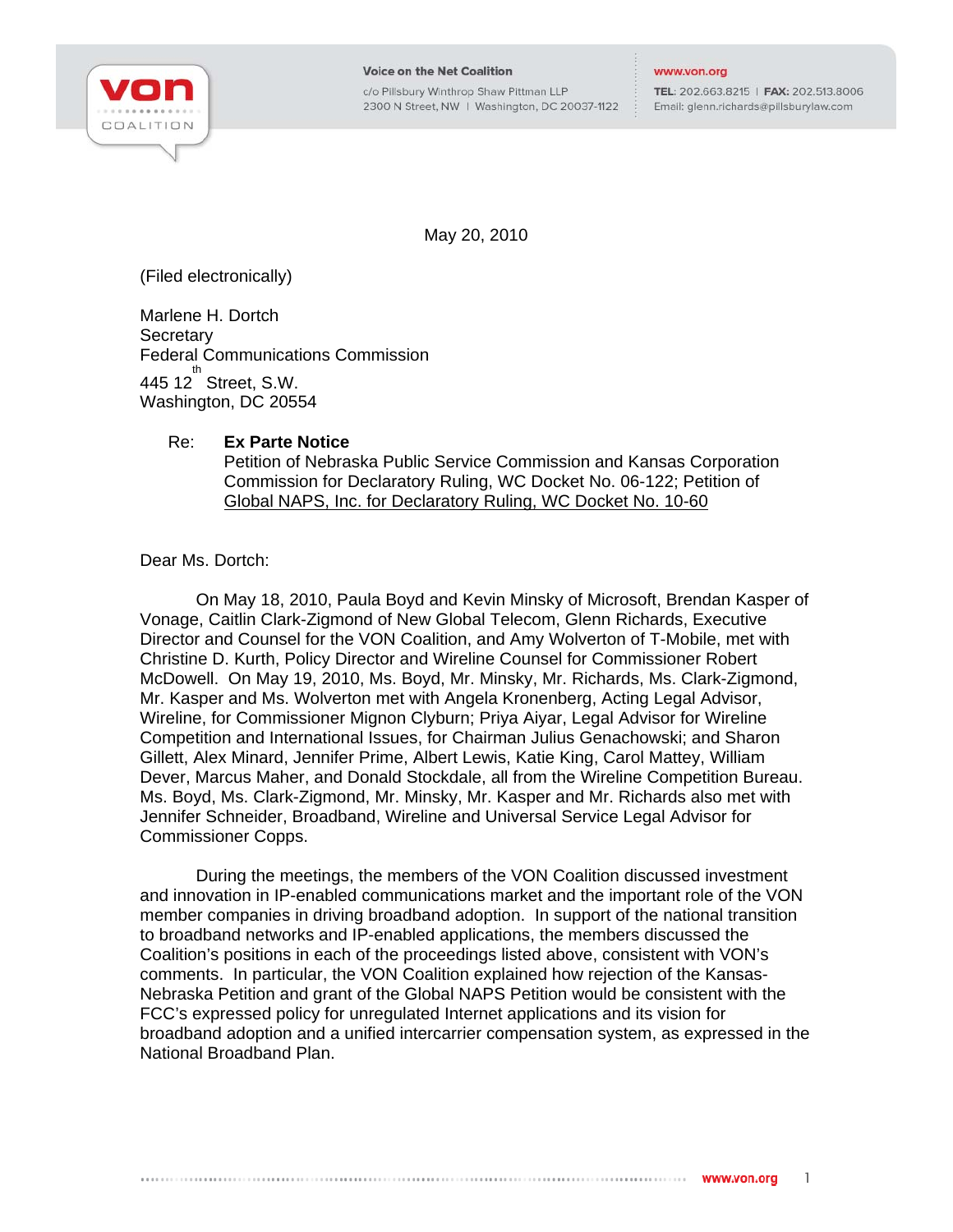

c/o Pillsbury Winthrop Shaw Pittman LLP 2300 N Street, NW | Washington, DC 20037-1122 TEL: 202.663.8215 | FAX: 202.513.8006 Email: glenn.richards@pillsburylaw.com

May 20, 2010

(Filed electronically)

Marlene H. Dortch **Secretary** Federal Communications Commission  $445$  12 $^{th}$  Street, S.W. Washington, DC 20554

## Re: **Ex Parte Notice**

Petition of Nebraska Public Service Commission and Kansas Corporation Commission for Declaratory Ruling, WC Docket No. 06-122; Petition of Global NAPS, Inc. for Declaratory Ruling, WC Docket No. 10-60

Dear Ms. Dortch:

On May 18, 2010, Paula Boyd and Kevin Minsky of Microsoft, Brendan Kasper of Vonage, Caitlin Clark-Zigmond of New Global Telecom, Glenn Richards, Executive Director and Counsel for the VON Coalition, and Amy Wolverton of T-Mobile, met with Christine D. Kurth, Policy Director and Wireline Counsel for Commissioner Robert McDowell. On May 19, 2010, Ms. Boyd, Mr. Minsky, Mr. Richards, Ms. Clark-Zigmond, Mr. Kasper and Ms. Wolverton met with Angela Kronenberg, Acting Legal Advisor, Wireline, for Commissioner Mignon Clyburn; Priya Aiyar, Legal Advisor for Wireline Competition and International Issues, for Chairman Julius Genachowski; and Sharon Gillett, Alex Minard, Jennifer Prime, Albert Lewis, Katie King, Carol Mattey, William Dever, Marcus Maher, and Donald Stockdale, all from the Wireline Competition Bureau. Ms. Boyd, Ms. Clark-Zigmond, Mr. Minsky, Mr. Kasper and Mr. Richards also met with Jennifer Schneider, Broadband, Wireline and Universal Service Legal Advisor for Commissioner Copps.

During the meetings, the members of the VON Coalition discussed investment and innovation in IP-enabled communications market and the important role of the VON member companies in driving broadband adoption. In support of the national transition to broadband networks and IP-enabled applications, the members discussed the Coalition's positions in each of the proceedings listed above, consistent with VON's comments. In particular, the VON Coalition explained how rejection of the Kansas-Nebraska Petition and grant of the Global NAPS Petition would be consistent with the FCC's expressed policy for unregulated Internet applications and its vision for broadband adoption and a unified intercarrier compensation system, as expressed in the National Broadband Plan.